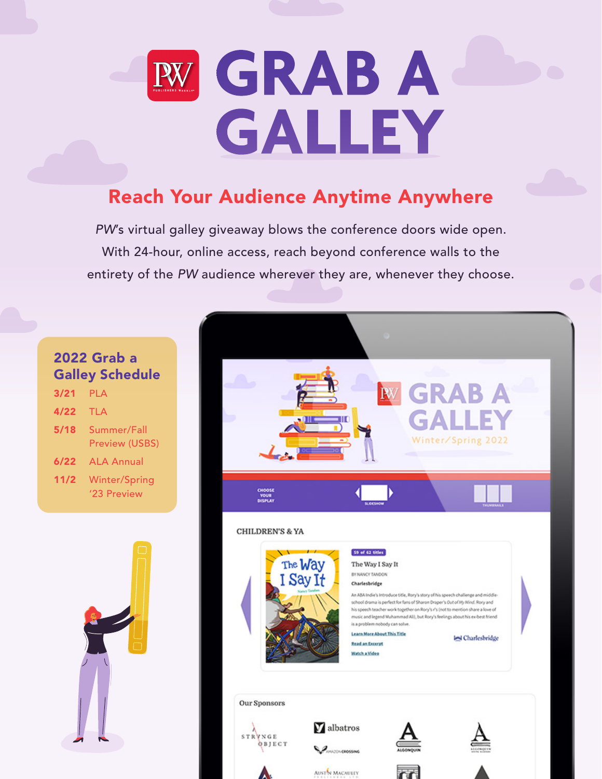

# Reach Your Audience Anytime Anywhere

*PW*'s virtual galley giveaway blows the conference doors wide open. With 24-hour, online access, reach beyond conference walls to the entirety of the *PW* audience wherever they are, whenever they choose.

## 2022 Grab a Galley Schedule

| 3/21 | <b>PLA</b>                           |
|------|--------------------------------------|
| 4/22 | TLA                                  |
| 5/18 | Summer/Fall<br><b>Preview (USBS)</b> |
| 6/22 | <b>ALA Annual</b>                    |
| 11/2 | Winter/Spring<br>'23 Preview         |